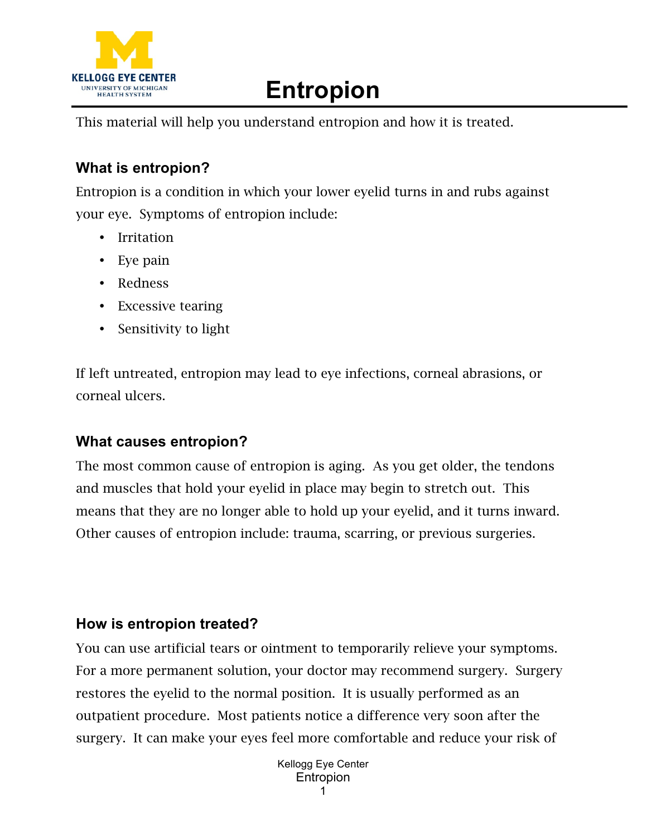

## **Entropion**

This material will help you understand entropion and how it is treated.

## **What is entropion?**

Entropion is a condition in which your lower eyelid turns in and rubs against your eye. Symptoms of entropion include:

- Irritation
- Eye pain
- Redness
- Excessive tearing
- Sensitivity to light

If left untreated, entropion may lead to eye infections, corneal abrasions, or corneal ulcers.

## **What causes entropion?**

The most common cause of entropion is aging. As you get older, the tendons and muscles that hold your eyelid in place may begin to stretch out. This means that they are no longer able to hold up your eyelid, and it turns inward. Other causes of entropion include: trauma, scarring, or previous surgeries.

## **How is entropion treated?**

You can use artificial tears or ointment to temporarily relieve your symptoms. For a more permanent solution, your doctor may recommend surgery. Surgery restores the eyelid to the normal position. It is usually performed as an outpatient procedure. Most patients notice a difference very soon after the surgery. It can make your eyes feel more comfortable and reduce your risk of